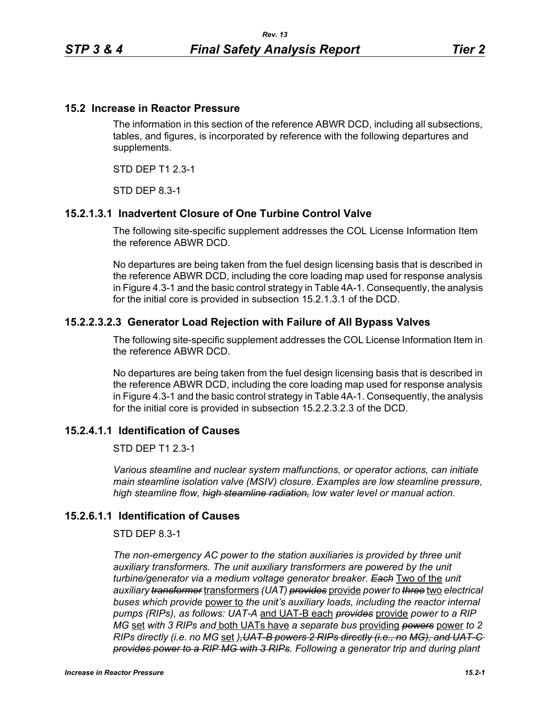### **15.2 Increase in Reactor Pressure**

The information in this section of the reference ABWR DCD, including all subsections, tables, and figures, is incorporated by reference with the following departures and supplements.

STD DEP T1 2.3-1

STD DEP 8.3-1

# **15.2.1.3.1 Inadvertent Closure of One Turbine Control Valve**

The following site-specific supplement addresses the COL License Information Item the reference ABWR DCD.

No departures are being taken from the fuel design licensing basis that is described in the reference ABWR DCD, including the core loading map used for response analysis in Figure 4.3-1 and the basic control strategy in Table 4A-1. Consequently, the analysis for the initial core is provided in subsection 15.2.1.3.1 of the DCD.

### **15.2.2.3.2.3 Generator Load Rejection with Failure of All Bypass Valves**

The following site-specific supplement addresses the COL License Information Item in the reference ABWR DCD.

No departures are being taken from the fuel design licensing basis that is described in the reference ABWR DCD, including the core loading map used for response analysis in Figure 4.3-1 and the basic control strategy in Table 4A-1. Consequently, the analysis for the initial core is provided in subsection 15.2.2.3.2.3 of the DCD.

# **15.2.4.1.1 Identification of Causes**

STD DEP T1 2.3-1

*Various steamline and nuclear system malfunctions, or operator actions, can initiate main steamline isolation valve (MSIV) closure. Examples are low steamline pressure, high steamline flow, high steamline radiation, low water level or manual action.*

#### **15.2.6.1.1 Identification of Causes**

#### STD DEP 8.3-1

*The non-emergency AC power to the station auxiliaries is provided by three unit*  auxiliary transformers. The unit auxiliary transformers are powered by the unit *turbine/generator via a medium voltage generator breaker. Each* Two of the *unit auxiliary transformer* transformers *(UAT) provides* provide *power to three* two *electrical buses which provide* power to *the unit's auxiliary loads, including the reactor internal pumps (RIPs), as follows: UAT-A* and UAT-B each *provides* provide *power to a RIP MG* set *with 3 RIPs and* both UATs have *a separate bus* providing *powers* power *to 2 RIPs directly (i.e. no MG* set *),UAT-B powers 2 RIPs directly (i.e., no MG), and UAT-C provides power to a RIP MG with 3 RIPs. Following a generator trip and during plant*